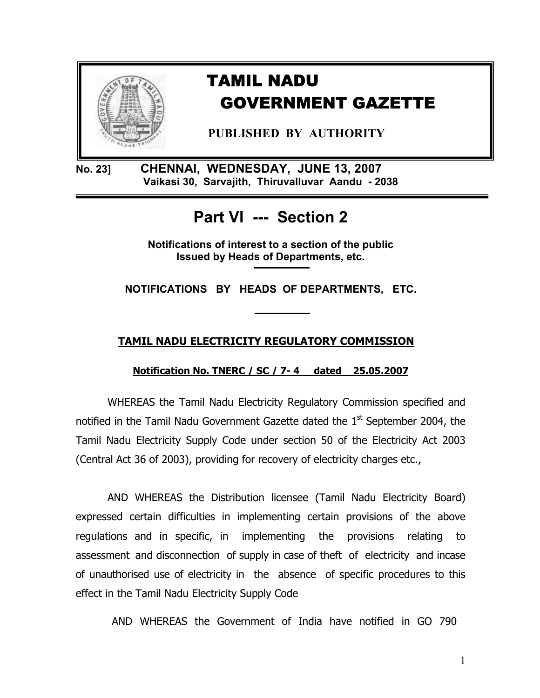

**No. 23] CHENNAI, WEDNESDAY, JUNE 13, 2007 Vaikasi 30, Sarvajith, Thiruvalluvar Aandu - 2038** 

# **Part VI --- Section 2**

**Notifications of interest to a section of the public Issued by Heads of Departments, etc.** 

**NOTIFICATIONS BY HEADS OF DEPARTMENTS, ETC.** 

## **TAMIL NADU ELECTRICITY REGULATORY COMMISSION**

**Notification No. TNERC / SC / 7- 4 dated 25.05.2007**

WHEREAS the Tamil Nadu Electricity Regulatory Commission specified and notified in the Tamil Nadu Government Gazette dated the  $1<sup>st</sup>$  September 2004, the Tamil Nadu Electricity Supply Code under section 50 of the Electricity Act 2003 (Central Act 36 of 2003), providing for recovery of electricity charges etc.,

AND WHEREAS the Distribution licensee (Tamil Nadu Electricity Board) expressed certain difficulties in implementing certain provisions of the above regulations and in specific, in implementing the provisions relating to assessment and disconnection of supply in case of theft of electricity and incase of unauthorised use of electricity in the absence of specific procedures to this effect in the Tamil Nadu Electricity Supply Code

AND WHEREAS the Government of India have notified in GO 790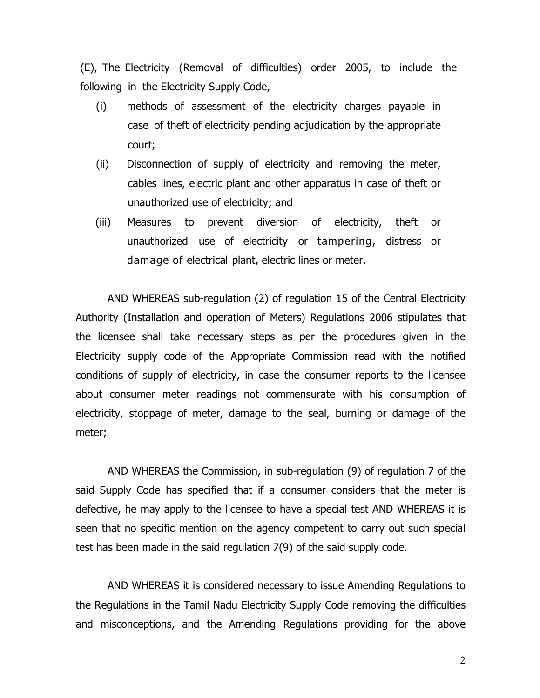(E), The Electricity (Removal of difficulties) order 2005, to include the following in the Electricity Supply Code,

- (i) methods of assessment of the electricity charges payable in case of theft of electricity pending adjudication by the appropriate court;
- (ii) Disconnection of supply of electricity and removing the meter, cables lines, electric plant and other apparatus in case of theft or unauthorized use of electricity; and
- (iii) Measures to prevent diversion of electricity, theft or unauthorized use of electricity or tampering, distress or damage of electrical plant, electric lines or meter.

AND WHEREAS sub-regulation (2) of regulation 15 of the Central Electricity Authority (Installation and operation of Meters) Regulations 2006 stipulates that the licensee shall take necessary steps as per the procedures given in the Electricity supply code of the Appropriate Commission read with the notified conditions of supply of electricity, in case the consumer reports to the licensee about consumer meter readings not commensurate with his consumption of electricity, stoppage of meter, damage to the seal, burning or damage of the meter;

AND WHEREAS the Commission, in sub-regulation (9) of regulation 7 of the said Supply Code has specified that if a consumer considers that the meter is defective, he may apply to the licensee to have a special test AND WHEREAS it is seen that no specific mention on the agency competent to carry out such special test has been made in the said regulation 7(9) of the said supply code.

 AND WHEREAS it is considered necessary to issue Amending Regulations to the Regulations in the Tamil Nadu Electricity Supply Code removing the difficulties and misconceptions, and the Amending Regulations providing for the above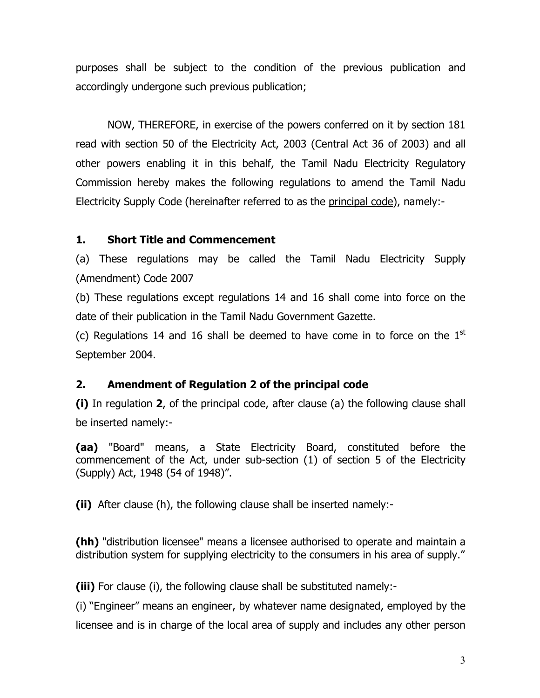purposes shall be subject to the condition of the previous publication and accordingly undergone such previous publication;

NOW, THEREFORE, in exercise of the powers conferred on it by section 181 read with section 50 of the Electricity Act, 2003 (Central Act 36 of 2003) and all other powers enabling it in this behalf, the Tamil Nadu Electricity Regulatory Commission hereby makes the following regulations to amend the Tamil Nadu Electricity Supply Code (hereinafter referred to as the principal code), namely:-

#### **1. Short Title and Commencement**

(a) These regulations may be called the Tamil Nadu Electricity Supply (Amendment) Code 2007

(b) These regulations except regulations 14 and 16 shall come into force on the date of their publication in the Tamil Nadu Government Gazette.

(c) Regulations 14 and 16 shall be deemed to have come in to force on the  $1<sup>st</sup>$ September 2004.

#### **2. Amendment of Regulation 2 of the principal code**

**(i)** In regulation **2**, of the principal code, after clause (a) the following clause shall be inserted namely:-

**(aa)** "Board" means, a State Electricity Board, constituted before the commencement of the Act, under sub-section (1) of section 5 of the Electricity (Supply) Act, 1948 (54 of 1948)".

**(ii)** After clause (h), the following clause shall be inserted namely:-

**(hh)** "distribution licensee" means a licensee authorised to operate and maintain a distribution system for supplying electricity to the consumers in his area of supply."

**(iii)** For clause (i), the following clause shall be substituted namely:-

(i) "Engineer" means an engineer, by whatever name designated, employed by the licensee and is in charge of the local area of supply and includes any other person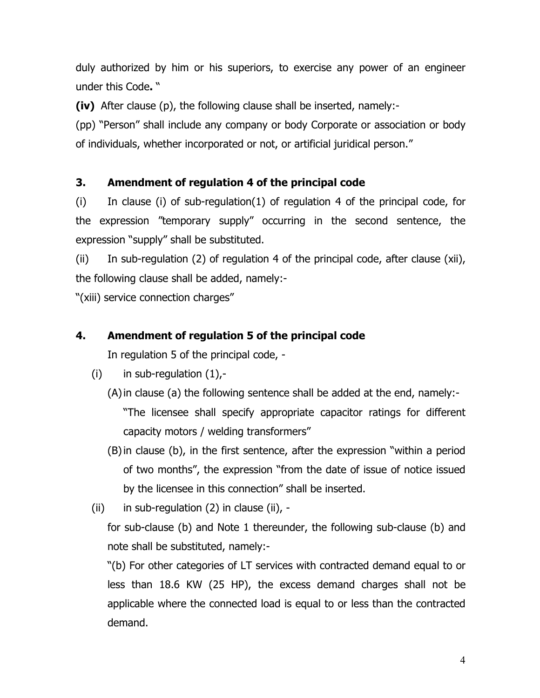duly authorized by him or his superiors, to exercise any power of an engineer under this Code**.** "

**(iv)** After clause (p), the following clause shall be inserted, namely:-

(pp) "Person" shall include any company or body Corporate or association or body of individuals, whether incorporated or not, or artificial juridical person."

## **3. Amendment of regulation 4 of the principal code**

(i) In clause (i) of sub-regulation(1) of regulation 4 of the principal code, for the expression "temporary supply" occurring in the second sentence, the expression "supply" shall be substituted.

(ii) In sub-regulation (2) of regulation 4 of the principal code, after clause (xii), the following clause shall be added, namely:-

"(xiii) service connection charges"

#### **4. Amendment of regulation 5 of the principal code**

In regulation 5 of the principal code, -

- (i) in sub-regulation  $(1)$ ,-
	- (A)in clause (a) the following sentence shall be added at the end, namely:- "The licensee shall specify appropriate capacitor ratings for different capacity motors / welding transformers"
	- (B)in clause (b), in the first sentence, after the expression "within a period of two months", the expression "from the date of issue of notice issued by the licensee in this connection" shall be inserted.
- (ii) in sub-regulation  $(2)$  in clause (ii), -

for sub-clause (b) and Note 1 thereunder, the following sub-clause (b) and note shall be substituted, namely:-

"(b) For other categories of LT services with contracted demand equal to or less than 18.6 KW (25 HP), the excess demand charges shall not be applicable where the connected load is equal to or less than the contracted demand.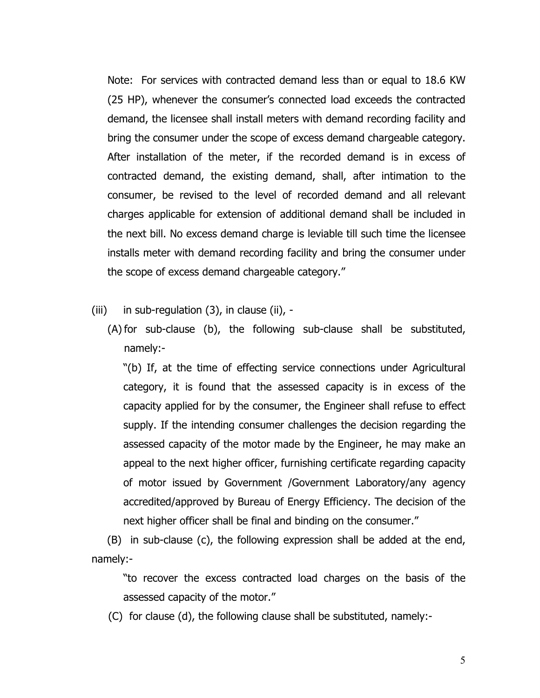Note: For services with contracted demand less than or equal to 18.6 KW (25 HP), whenever the consumer's connected load exceeds the contracted demand, the licensee shall install meters with demand recording facility and bring the consumer under the scope of excess demand chargeable category. After installation of the meter, if the recorded demand is in excess of contracted demand, the existing demand, shall, after intimation to the consumer, be revised to the level of recorded demand and all relevant charges applicable for extension of additional demand shall be included in the next bill. No excess demand charge is leviable till such time the licensee installs meter with demand recording facility and bring the consumer under the scope of excess demand chargeable category."

(iii) in sub-regulation  $(3)$ , in clause (ii), -

(A) for sub-clause (b), the following sub-clause shall be substituted, namely:-

"(b) If, at the time of effecting service connections under Agricultural category, it is found that the assessed capacity is in excess of the capacity applied for by the consumer, the Engineer shall refuse to effect supply. If the intending consumer challenges the decision regarding the assessed capacity of the motor made by the Engineer, he may make an appeal to the next higher officer, furnishing certificate regarding capacity of motor issued by Government /Government Laboratory/any agency accredited/approved by Bureau of Energy Efficiency. The decision of the next higher officer shall be final and binding on the consumer."

(B) in sub-clause (c), the following expression shall be added at the end, namely:-

"to recover the excess contracted load charges on the basis of the assessed capacity of the motor."

(C) for clause (d), the following clause shall be substituted, namely:-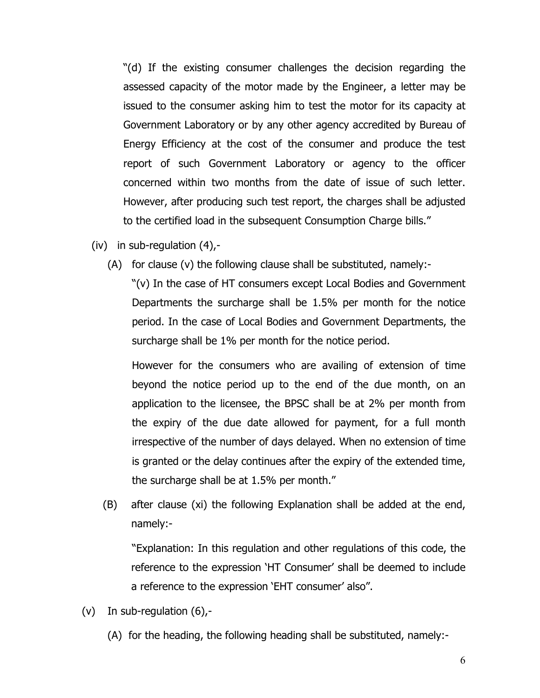"(d) If the existing consumer challenges the decision regarding the assessed capacity of the motor made by the Engineer, a letter may be issued to the consumer asking him to test the motor for its capacity at Government Laboratory or by any other agency accredited by Bureau of Energy Efficiency at the cost of the consumer and produce the test report of such Government Laboratory or agency to the officer concerned within two months from the date of issue of such letter. However, after producing such test report, the charges shall be adjusted to the certified load in the subsequent Consumption Charge bills."

- $(iv)$  in sub-regulation  $(4)$ ,-
	- (A) for clause (v) the following clause shall be substituted, namely:-

"(v) In the case of HT consumers except Local Bodies and Government Departments the surcharge shall be 1.5% per month for the notice period. In the case of Local Bodies and Government Departments, the surcharge shall be 1% per month for the notice period.

However for the consumers who are availing of extension of time beyond the notice period up to the end of the due month, on an application to the licensee, the BPSC shall be at 2% per month from the expiry of the due date allowed for payment, for a full month irrespective of the number of days delayed. When no extension of time is granted or the delay continues after the expiry of the extended time, the surcharge shall be at 1.5% per month."

(B) after clause (xi) the following Explanation shall be added at the end, namely:-

"Explanation: In this regulation and other regulations of this code, the reference to the expression 'HT Consumer' shall be deemed to include a reference to the expression 'EHT consumer' also".

- (v) In sub-regulation (6),-
	- (A) for the heading, the following heading shall be substituted, namely:-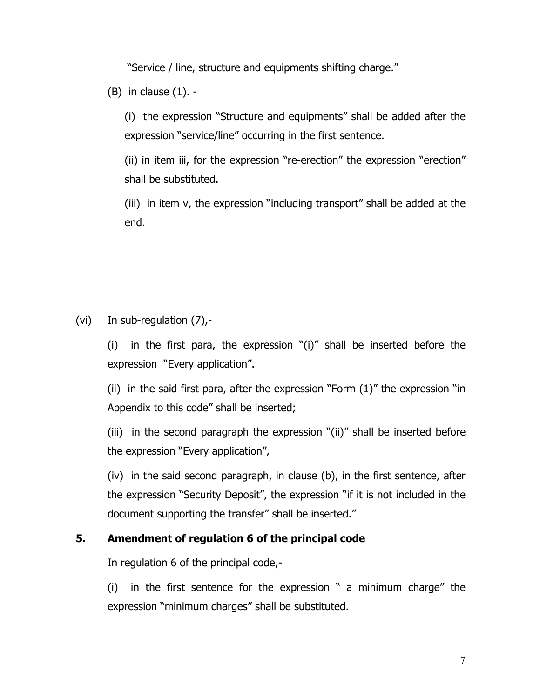"Service / line, structure and equipments shifting charge."

 $(B)$  in clause  $(1)$ . -

(i) the expression "Structure and equipments" shall be added after the expression "service/line" occurring in the first sentence.

(ii) in item iii, for the expression "re-erection" the expression "erection" shall be substituted.

(iii) in item v, the expression "including transport" shall be added at the end.

(vi) In sub-regulation (7),-

(i) in the first para, the expression "(i)" shall be inserted before the expression "Every application".

(ii) in the said first para, after the expression "Form (1)" the expression "in Appendix to this code" shall be inserted;

(iii) in the second paragraph the expression "(ii)" shall be inserted before the expression "Every application",

(iv) in the said second paragraph, in clause (b), in the first sentence, after the expression "Security Deposit", the expression "if it is not included in the document supporting the transfer" shall be inserted."

## **5. Amendment of regulation 6 of the principal code**

In regulation 6 of the principal code,-

(i) in the first sentence for the expression " a minimum charge" the expression "minimum charges" shall be substituted.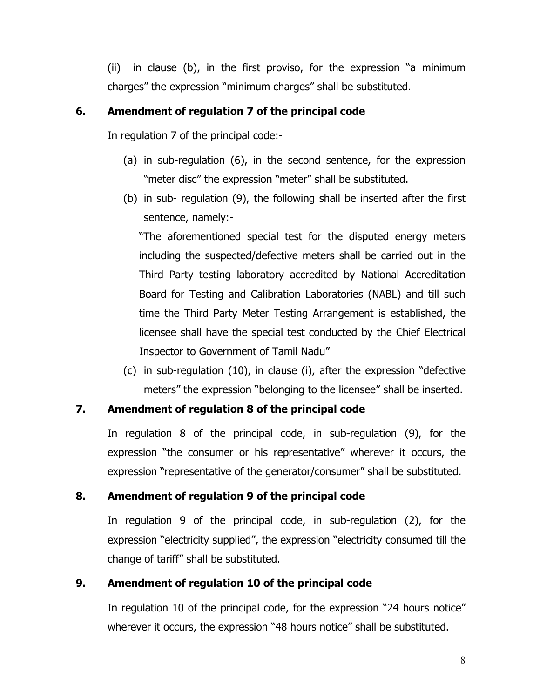(ii) in clause (b), in the first proviso, for the expression "a minimum charges" the expression "minimum charges" shall be substituted.

#### **6. Amendment of regulation 7 of the principal code**

In regulation 7 of the principal code:-

- (a) in sub-regulation (6), in the second sentence, for the expression "meter disc" the expression "meter" shall be substituted.
- (b) in sub- regulation (9), the following shall be inserted after the first sentence, namely:-

"The aforementioned special test for the disputed energy meters including the suspected/defective meters shall be carried out in the Third Party testing laboratory accredited by National Accreditation Board for Testing and Calibration Laboratories (NABL) and till such time the Third Party Meter Testing Arrangement is established, the licensee shall have the special test conducted by the Chief Electrical Inspector to Government of Tamil Nadu"

(c) in sub-regulation (10), in clause (i), after the expression "defective meters" the expression "belonging to the licensee" shall be inserted.

#### **7. Amendment of regulation 8 of the principal code**

In regulation 8 of the principal code, in sub-regulation (9), for the expression "the consumer or his representative" wherever it occurs, the expression "representative of the generator/consumer" shall be substituted.

#### **8. Amendment of regulation 9 of the principal code**

In regulation 9 of the principal code, in sub-regulation (2), for the expression "electricity supplied", the expression "electricity consumed till the change of tariff" shall be substituted.

#### **9. Amendment of regulation 10 of the principal code**

In regulation 10 of the principal code, for the expression "24 hours notice" wherever it occurs, the expression "48 hours notice" shall be substituted.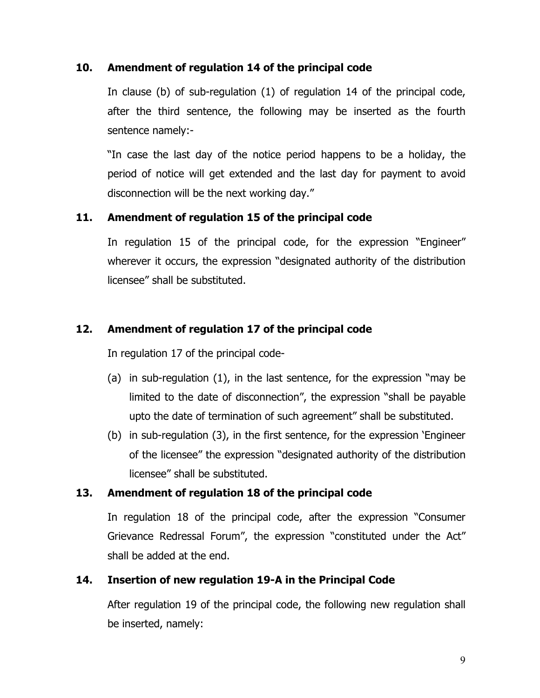### **10. Amendment of regulation 14 of the principal code**

In clause (b) of sub-regulation (1) of regulation 14 of the principal code, after the third sentence, the following may be inserted as the fourth sentence namely:-

"In case the last day of the notice period happens to be a holiday, the period of notice will get extended and the last day for payment to avoid disconnection will be the next working day."

## **11. Amendment of regulation 15 of the principal code**

In regulation 15 of the principal code, for the expression "Engineer" wherever it occurs, the expression "designated authority of the distribution licensee" shall be substituted.

## **12. Amendment of regulation 17 of the principal code**

In regulation 17 of the principal code-

- (a) in sub-regulation (1), in the last sentence, for the expression "may be limited to the date of disconnection", the expression "shall be payable upto the date of termination of such agreement" shall be substituted.
- (b) in sub-regulation (3), in the first sentence, for the expression 'Engineer of the licensee" the expression "designated authority of the distribution licensee" shall be substituted.

## **13. Amendment of regulation 18 of the principal code**

In regulation 18 of the principal code, after the expression "Consumer Grievance Redressal Forum", the expression "constituted under the Act" shall be added at the end.

## **14. Insertion of new regulation 19-A in the Principal Code**

After regulation 19 of the principal code, the following new regulation shall be inserted, namely: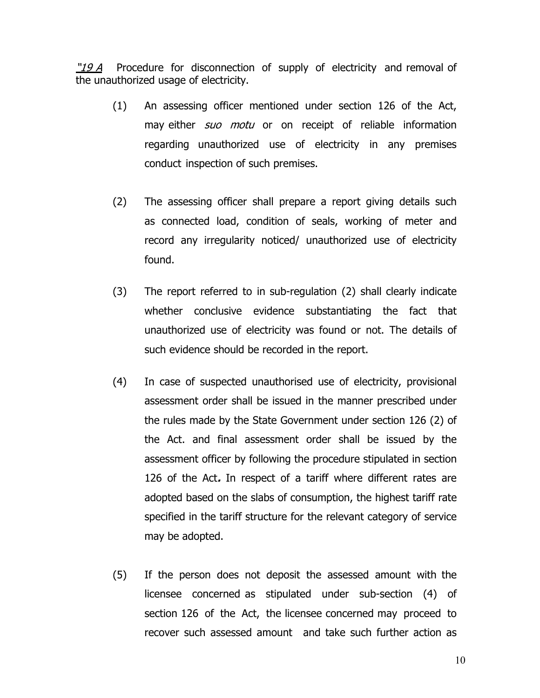"19 A Procedure for disconnection of supply of electricity and removal of the unauthorized usage of electricity.

- (1) An assessing officer mentioned under section 126 of the Act, may either *suo motu* or on receipt of reliable information regarding unauthorized use of electricity in any premises conduct inspection of such premises.
- (2) The assessing officer shall prepare a report giving details such as connected load, condition of seals, working of meter and record any irregularity noticed/ unauthorized use of electricity found.
- (3) The report referred to in sub-regulation (2) shall clearly indicate whether conclusive evidence substantiating the fact that unauthorized use of electricity was found or not. The details of such evidence should be recorded in the report.
- (4) In case of suspected unauthorised use of electricity, provisional assessment order shall be issued in the manner prescribed under the rules made by the State Government under section 126 (2) of the Act. and final assessment order shall be issued by the assessment officer by following the procedure stipulated in section 126 of the Act**.** In respect of a tariff where different rates are adopted based on the slabs of consumption, the highest tariff rate specified in the tariff structure for the relevant category of service may be adopted.
- (5) If the person does not deposit the assessed amount with the licensee concerned as stipulated under sub-section (4) of section 126 of the Act, the licensee concerned may proceed to recover such assessed amount and take such further action as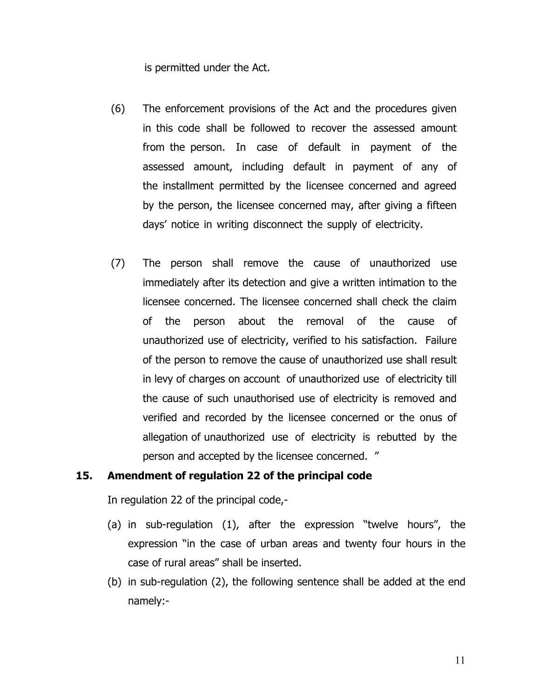is permitted under the Act.

- (6) The enforcement provisions of the Act and the procedures given in this code shall be followed to recover the assessed amount from the person. In case of default in payment of the assessed amount, including default in payment of any of the installment permitted by the licensee concerned and agreed by the person, the licensee concerned may, after giving a fifteen days' notice in writing disconnect the supply of electricity.
- (7) The person shall remove the cause of unauthorized use immediately after its detection and give a written intimation to the licensee concerned. The licensee concerned shall check the claim of the person about the removal of the cause of unauthorized use of electricity, verified to his satisfaction. Failure of the person to remove the cause of unauthorized use shall result in levy of charges on account of unauthorized use of electricity till the cause of such unauthorised use of electricity is removed and verified and recorded by the licensee concerned or the onus of allegation of unauthorized use of electricity is rebutted by the person and accepted by the licensee concerned. "

#### **15. Amendment of regulation 22 of the principal code**

In regulation 22 of the principal code,-

- (a) in sub-regulation (1), after the expression "twelve hours", the expression "in the case of urban areas and twenty four hours in the case of rural areas" shall be inserted.
- (b) in sub-regulation (2), the following sentence shall be added at the end namely:-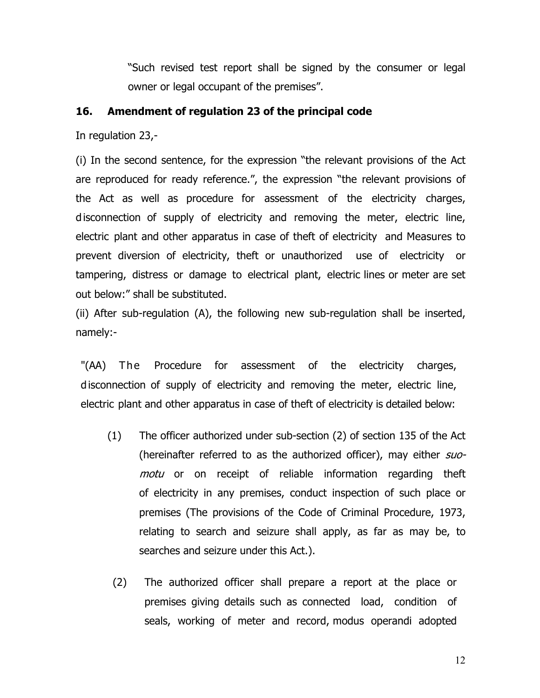"Such revised test report shall be signed by the consumer or legal owner or legal occupant of the premises".

#### **16. Amendment of regulation 23 of the principal code**

In regulation 23,-

(i) In the second sentence, for the expression "the relevant provisions of the Act are reproduced for ready reference.", the expression "the relevant provisions of the Act as well as procedure for assessment of the electricity charges, disconnection of supply of electricity and removing the meter, electric line, electric plant and other apparatus in case of theft of electricity and Measures to prevent diversion of electricity, theft or unauthorized use of electricity or tampering, distress or damage to electrical plant, electric lines or meter are set out below:" shall be substituted.

(ii) After sub-regulation (A), the following new sub-regulation shall be inserted, namely:-

"(AA) The Procedure for assessment of the electricity charges, disconnection of supply of electricity and removing the meter, electric line, electric plant and other apparatus in case of theft of electricity is detailed below:

- (1) The officer authorized under sub-section (2) of section 135 of the Act (hereinafter referred to as the authorized officer), may either suomotu or on receipt of reliable information regarding theft of electricity in any premises, conduct inspection of such place or premises (The provisions of the Code of Criminal Procedure, 1973, relating to search and seizure shall apply, as far as may be, to searches and seizure under this Act.).
- (2) The authorized officer shall prepare a report at the place or premises giving details such as connected load, condition of seals, working of meter and record, modus operandi adopted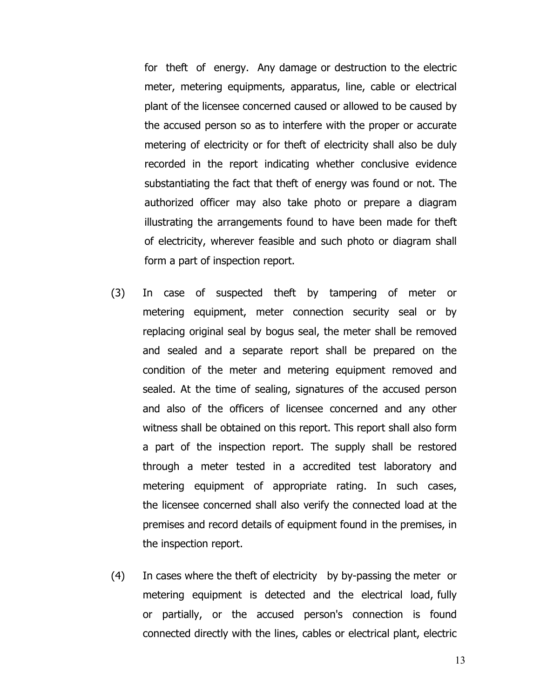for theft of energy. Any damage or destruction to the electric meter, metering equipments, apparatus, line, cable or electrical plant of the licensee concerned caused or allowed to be caused by the accused person so as to interfere with the proper or accurate metering of electricity or for theft of electricity shall also be duly recorded in the report indicating whether conclusive evidence substantiating the fact that theft of energy was found or not. The authorized officer may also take photo or prepare a diagram illustrating the arrangements found to have been made for theft of electricity, wherever feasible and such photo or diagram shall form a part of inspection report.

- (3) In case of suspected theft by tampering of meter or metering equipment, meter connection security seal or by replacing original seal by bogus seal, the meter shall be removed and sealed and a separate report shall be prepared on the condition of the meter and metering equipment removed and sealed. At the time of sealing, signatures of the accused person and also of the officers of licensee concerned and any other witness shall be obtained on this report. This report shall also form a part of the inspection report. The supply shall be restored through a meter tested in a accredited test laboratory and metering equipment of appropriate rating. In such cases, the licensee concerned shall also verify the connected load at the premises and record details of equipment found in the premises, in the inspection report.
- (4) In cases where the theft of electricity by by-passing the meter or metering equipment is detected and the electrical load, fully or partially, or the accused person's connection is found connected directly with the lines, cables or electrical plant, electric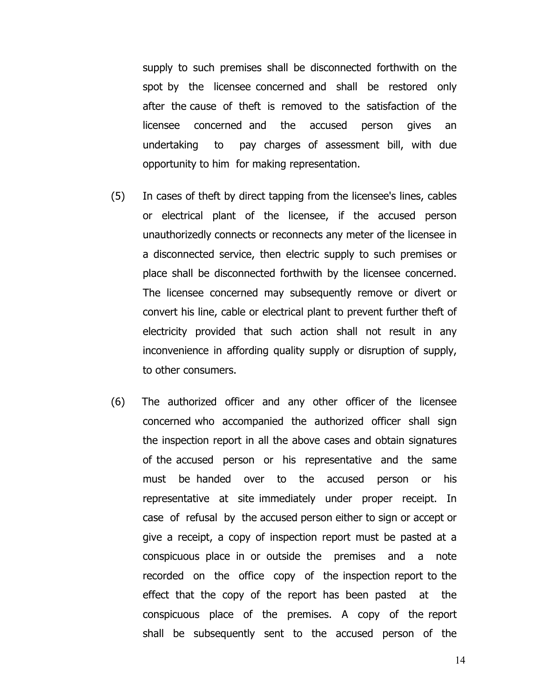supply to such premises shall be disconnected forthwith on the spot by the licensee concerned and shall be restored only after the cause of theft is removed to the satisfaction of the licensee concerned and the accused person gives an undertaking to pay charges of assessment bill, with due opportunity to him for making representation.

- (5) In cases of theft by direct tapping from the licensee's lines, cables or electrical plant of the licensee, if the accused person unauthorizedly connects or reconnects any meter of the licensee in a disconnected service, then electric supply to such premises or place shall be disconnected forthwith by the licensee concerned. The licensee concerned may subsequently remove or divert or convert his line, cable or electrical plant to prevent further theft of electricity provided that such action shall not result in any inconvenience in affording quality supply or disruption of supply, to other consumers.
- (6) The authorized officer and any other officer of the licensee concerned who accompanied the authorized officer shall sign the inspection report in all the above cases and obtain signatures of the accused person or his representative and the same must be handed over to the accused person or his representative at site immediately under proper receipt. In case of refusal by the accused person either to sign or accept or give a receipt, a copy of inspection report must be pasted at a conspicuous place in or outside the premises and a note recorded on the office copy of the inspection report to the effect that the copy of the report has been pasted at the conspicuous place of the premises. A copy of the report shall be subsequently sent to the accused person of the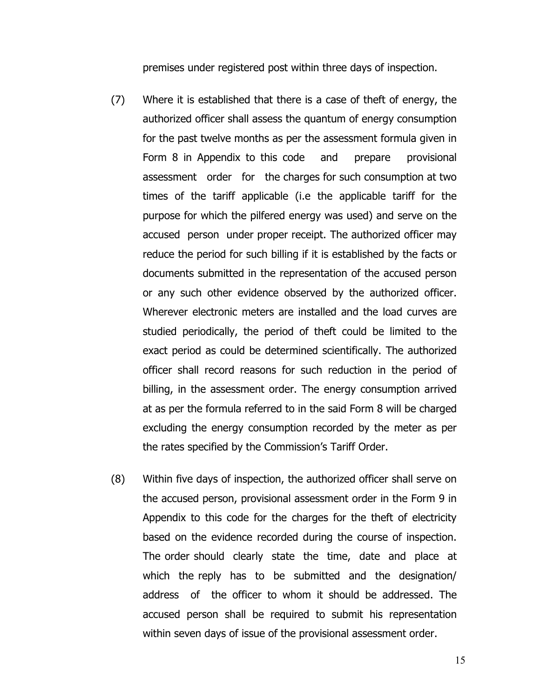premises under registered post within three days of inspection.

- (7) Where it is established that there is a case of theft of energy, the authorized officer shall assess the quantum of energy consumption for the past twelve months as per the assessment formula given in Form 8 in Appendix to this codeand prepare provisional assessment order for the charges for such consumption at two times of the tariff applicable (i.e the applicable tariff for the purpose for which the pilfered energy was used) and serve on the accused person under proper receipt. The authorized officer may reduce the period for such billing if it is established by the facts or documents submitted in the representation of the accused person or any such other evidence observed by the authorized officer. Wherever electronic meters are installed and the load curves are studied periodically, the period of theft could be limited to the exact period as could be determined scientifically. The authorized officer shall record reasons for such reduction in the period of billing, in the assessment order. The energy consumption arrived at as per the formula referred to in the said Form 8 will be charged excluding the energy consumption recorded by the meter as per the rates specified by the Commission's Tariff Order.
- (8) Within five days of inspection, the authorized officer shall serve on the accused person, provisional assessment order in the Form 9 in Appendix to this code for the charges for the theft of electricity based on the evidence recorded during the course of inspection. The order should clearly state the time, date and place at which the reply has to be submitted and the designation/ address of the officer to whom it should be addressed. The accused person shall be required to submit his representation within seven days of issue of the provisional assessment order.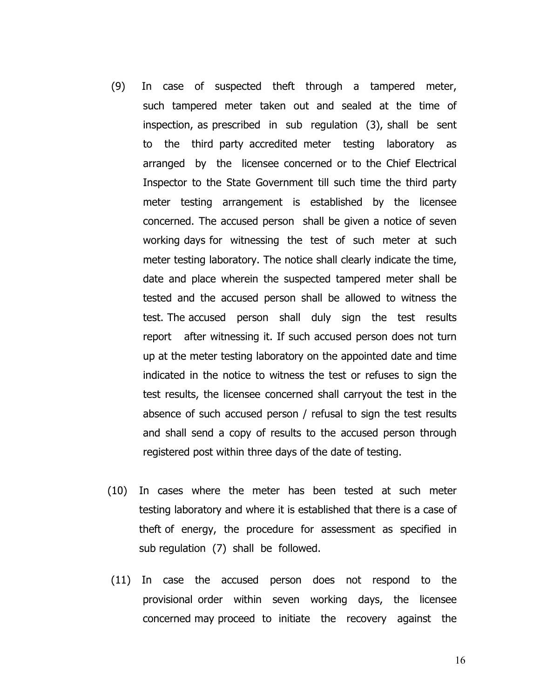- (9) In case of suspected theft through a tampered meter, such tampered meter taken out and sealed at the time of inspection, as prescribed in sub regulation (3), shall be sent to the third party accredited meter testing laboratory as arranged by the licensee concerned or to the Chief Electrical Inspector to the State Government till such time the third party meter testing arrangement is established by the licensee concerned. The accused person shall be given a notice of seven working days for witnessing the test of such meter at such meter testing laboratory. The notice shall clearly indicate the time, date and place wherein the suspected tampered meter shall be tested and the accused person shall be allowed to witness the test. The accused person shall duly sign the test results report after witnessing it. If such accused person does not turn up at the meter testing laboratory on the appointed date and time indicated in the notice to witness the test or refuses to sign the test results, the licensee concerned shall carryout the test in the absence of such accused person / refusal to sign the test results and shall send a copy of results to the accused person through registered post within three days of the date of testing.
- (10) In cases where the meter has been tested at such meter testing laboratory and where it is established that there is a case of theft of energy, the procedure for assessment as specified in sub regulation (7) shall be followed.
- (11) In case the accused person does not respond to the provisional order within seven working days, the licensee concerned may proceed to initiate the recovery against the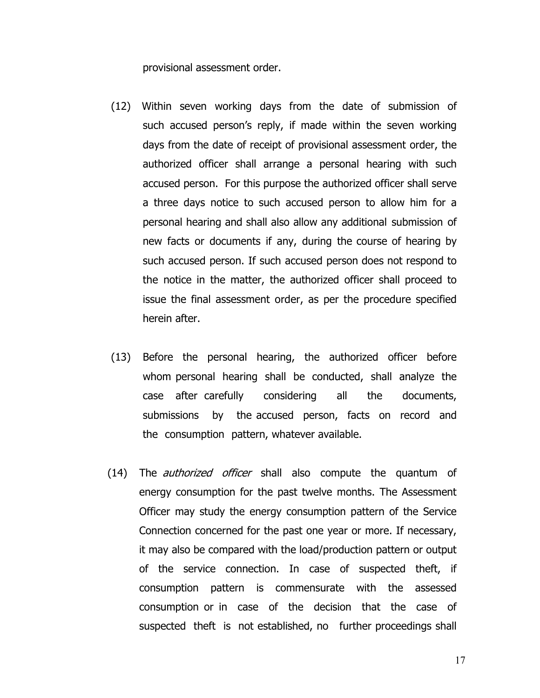provisional assessment order.

- (12) Within seven working days from the date of submission of such accused person's reply, if made within the seven working days from the date of receipt of provisional assessment order, the authorized officer shall arrange a personal hearing with such accused person. For this purpose the authorized officer shall serve a three days notice to such accused person to allow him for a personal hearing and shall also allow any additional submission of new facts or documents if any, during the course of hearing by such accused person. If such accused person does not respond to the notice in the matter, the authorized officer shall proceed to issue the final assessment order, as per the procedure specified herein after.
- (13) Before the personal hearing, the authorized officer before whom personal hearing shall be conducted, shall analyze the case after carefully considering all the documents, submissions by the accused person, facts on record and the consumption pattern, whatever available.
- (14) The *authorized officer* shall also compute the quantum of energy consumption for the past twelve months. The Assessment Officer may study the energy consumption pattern of the Service Connection concerned for the past one year or more. If necessary, it may also be compared with the load/production pattern or output of the service connection. In case of suspected theft, if consumption pattern is commensurate with the assessed consumption or in case of the decision that the case of suspected theft is not established, no further proceedings shall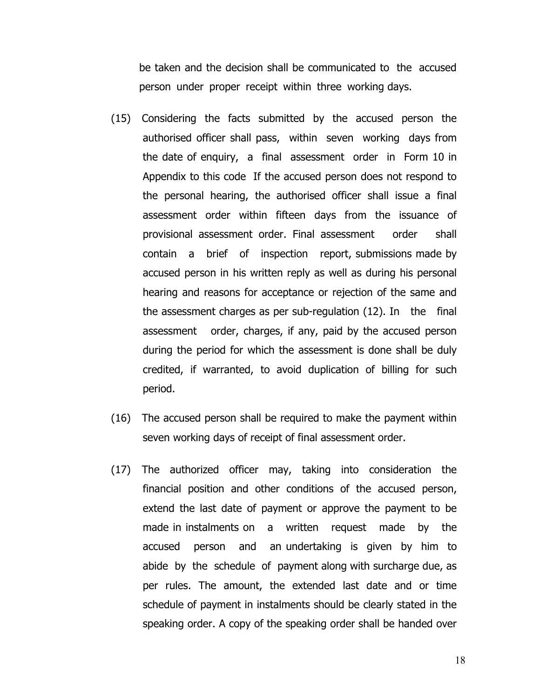be taken and the decision shall be communicated to the accused person under proper receipt within three working days.

- (15) Considering the facts submitted by the accused person the authorised officer shall pass, within seven working days from the date of enquiry, a final assessment order in Form 10 in Appendix to this codeIf the accused person does not respond to the personal hearing, the authorised officer shall issue a final assessment order within fifteen days from the issuance of provisional assessment order. Final assessment order shall contain a brief of inspection report, submissions made by accused person in his written reply as well as during his personal hearing and reasons for acceptance or rejection of the same and the assessment charges as per sub-regulation (12). In the final assessment order, charges, if any, paid by the accused person during the period for which the assessment is done shall be duly credited, if warranted, to avoid duplication of billing for such period.
- (16) The accused person shall be required to make the payment within seven working days of receipt of final assessment order.
- (17) The authorized officer may, taking into consideration the financial position and other conditions of the accused person, extend the last date of payment or approve the payment to be made in instalments on a written request made by the accused person and an undertaking is given by him to abide by the schedule of payment along with surcharge due, as per rules. The amount, the extended last date and or time schedule of payment in instalments should be clearly stated in the speaking order. A copy of the speaking order shall be handed over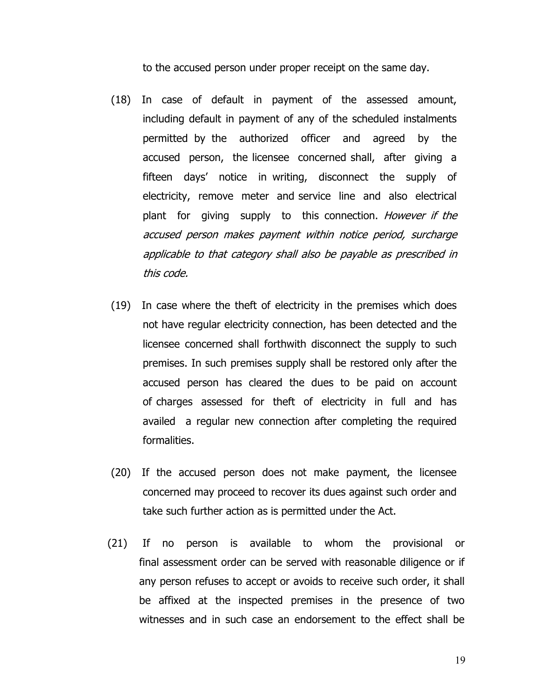to the accused person under proper receipt on the same day.

- (18) In case of default in payment of the assessed amount, including default in payment of any of the scheduled instalments permitted by the authorized officer and agreed by the accused person, the licensee concerned shall, after giving a fifteen days' notice in writing, disconnect the supply of electricity, remove meter and service line and also electrical plant for giving supply to this connection. However if the accused person makes payment within notice period, surcharge applicable to that category shall also be payable as prescribed in this code.
- (19) In case where the theft of electricity in the premises which does not have regular electricity connection, has been detected and the licensee concerned shall forthwith disconnect the supply to such premises. In such premises supply shall be restored only after the accused person has cleared the dues to be paid on account of charges assessed for theft of electricity in full and has availed a regular new connection after completing the required formalities.
- (20) If the accused person does not make payment, the licensee concerned may proceed to recover its dues against such order and take such further action as is permitted under the Act.
- (21) If no person is available to whom the provisional or final assessment order can be served with reasonable diligence or if any person refuses to accept or avoids to receive such order, it shall be affixed at the inspected premises in the presence of two witnesses and in such case an endorsement to the effect shall be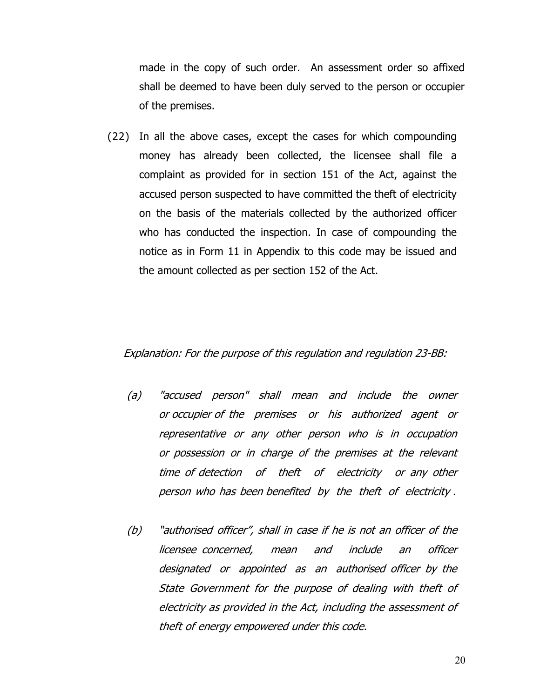made in the copy of such order. An assessment order so affixed shall be deemed to have been duly served to the person or occupier of the premises.

(22) In all the above cases, except the cases for which compounding money has already been collected, the licensee shall file a complaint as provided for in section 151 of the Act, against the accused person suspected to have committed the theft of electricity on the basis of the materials collected by the authorized officer who has conducted the inspection. In case of compounding the notice as in Form 11 in Appendix to this code may be issued and the amount collected as per section 152 of the Act.

#### Explanation: For the purpose of this regulation and regulation 23-BB:

- (a) "accused person"shall mean and include the owner or occupier of the premises or his authorized agent or representative or any other person who is in occupation or possession or in charge of the premises at the relevant time of detection of theft of electricity or any other person who has been benefited by the theft of electricity .
- (b) "authorised officer", shall in case if he is not an officer of the licensee concerned, mean and include an officer designated or appointed as an authorised officer by the State Government for the purpose of dealing with theft of electricity as provided in the Act, including the assessment of theft of energy empowered under this code.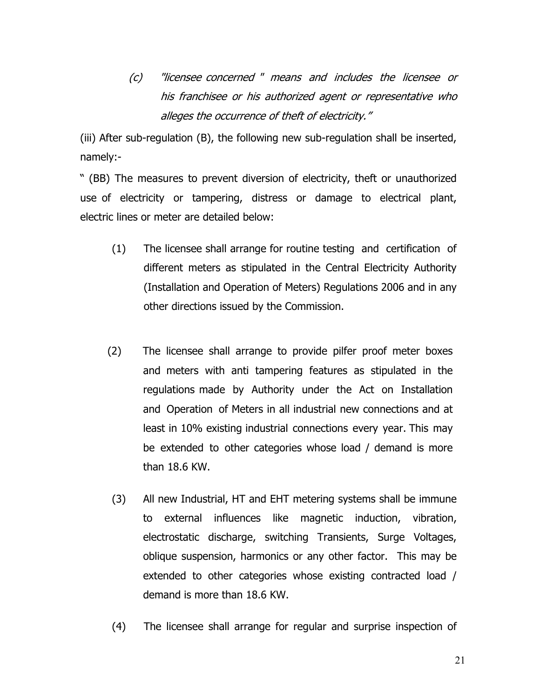(c) "licensee concerned "means and includes the licensee or his franchisee or his authorized agent or representative who alleges the occurrence of theft of electricity."

(iii) After sub-regulation (B), the following new sub-regulation shall be inserted, namely:-

" (BB) The measures to prevent diversion of electricity, theft or unauthorized use of electricity or tampering, distress or damage to electrical plant, electric lines or meter are detailed below:

- (1) The licensee shall arrange for routine testing and certification of different meters as stipulated in the Central Electricity Authority (Installation and Operation of Meters) Regulations 2006 and in any other directions issued by the Commission.
- (2) The licensee shall arrange to provide pilfer proof meter boxes and meters with anti tampering features as stipulated in the regulations made by Authority under the Act on Installation and Operation of Meters in all industrial new connections and at least in 10% existing industrial connections every year. This may be extended to other categories whose load / demand is more than 18.6 KW.
- (3) All new Industrial, HT and EHT metering systems shall be immune to external influences like magnetic induction, vibration, electrostatic discharge, switching Transients, Surge Voltages, oblique suspension, harmonics or any other factor. This may be extended to other categories whose existing contracted load / demand is more than 18.6 KW.
- (4) The licensee shall arrange for regular and surprise inspection of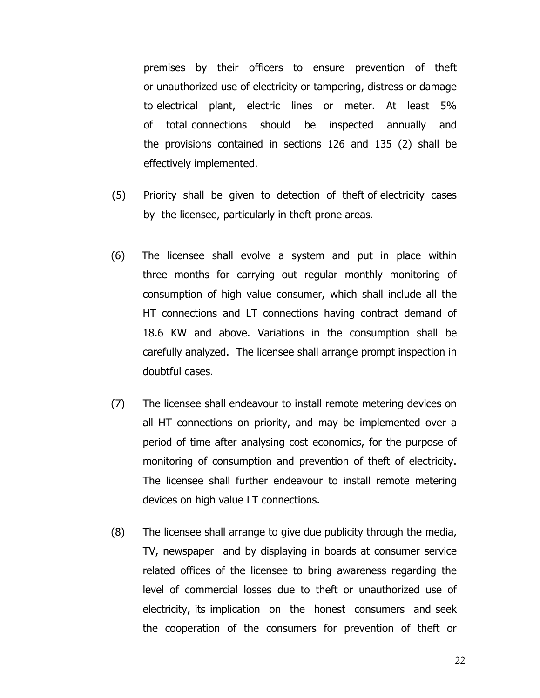premises by their officers to ensure prevention of theft or unauthorized use of electricity or tampering, distress or damage to electrical plant, electric lines or meter. At least 5% of total connections should be inspected annually and the provisions contained in sections 126 and 135 (2) shall be effectively implemented.

- (5) Priority shall be given to detection of theft of electricity cases by the licensee, particularly in theft prone areas.
- (6) The licensee shall evolve a system and put in place within three months for carrying out regular monthly monitoring of consumption of high value consumer, which shall include all the HT connections and LT connections having contract demand of 18.6 KW and above. Variations in the consumption shall be carefully analyzed. The licensee shall arrange prompt inspection in doubtful cases.
- (7) The licensee shall endeavour to install remote metering devices on all HT connections on priority, and may be implemented over a period of time after analysing cost economics, for the purpose of monitoring of consumption and prevention of theft of electricity. The licensee shall further endeavour to install remote metering devices on high value LT connections.
- (8) The licensee shall arrange to give due publicity through the media, TV, newspaper and by displaying in boards at consumer service related offices of the licensee to bring awareness regarding the level of commercial losses due to theft or unauthorized use of electricity, its implication on the honest consumers and seek the cooperation of the consumers for prevention of theft or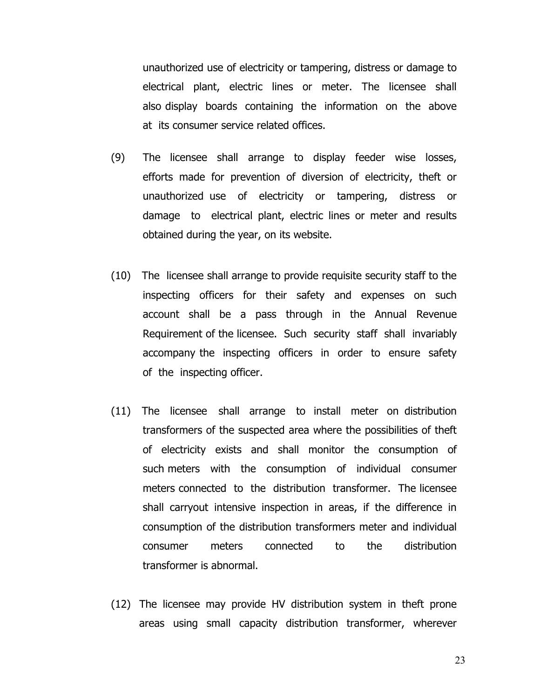unauthorized use of electricity or tampering, distress or damage to electrical plant, electric lines or meter. The licensee shall also display boards containing the information on the above at its consumer service related offices.

- (9) The licensee shall arrange to display feeder wise losses, efforts made for prevention of diversion of electricity, theft or unauthorized use of electricity or tampering, distress or damage to electrical plant, electric lines or meter and results obtained during the year, on its website.
- (10) The licensee shall arrange to provide requisite security staff to the inspecting officers for their safety and expenses on such account shall be a pass through in the Annual Revenue Requirement of the licensee. Such security staff shall invariably accompany the inspecting officers in order to ensure safety of the inspecting officer.
- (11) The licensee shall arrange to install meter on distribution transformers of the suspected area where the possibilities of theft of electricity exists and shall monitor the consumption of such meters with the consumption of individual consumer meters connected to the distribution transformer. The licensee shall carryout intensive inspection in areas, if the difference in consumption of the distribution transformers meter and individual consumer meters connected to the distribution transformer is abnormal.
- (12) The licensee may provide HV distribution system in theft prone areas using small capacity distribution transformer, wherever

23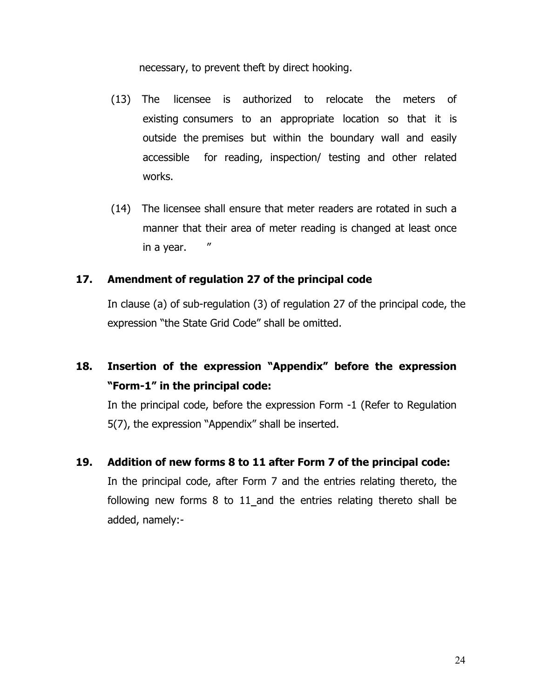necessary, to prevent theft by direct hooking.

- (13) The licensee is authorized to relocate the meters of existing consumers to an appropriate location so that it is outside the premises but within the boundary wall and easily accessible for reading, inspection/ testing and other related works.
- (14) The licensee shall ensure that meter readers are rotated in such a manner that their area of meter reading is changed at least once in a year. "

#### **17. Amendment of regulation 27 of the principal code**

In clause (a) of sub-regulation (3) of regulation 27 of the principal code, the expression "the State Grid Code" shall be omitted.

## **18. Insertion of the expression "Appendix" before the expression "Form-1" in the principal code:**

In the principal code, before the expression Form -1 (Refer to Regulation 5(7), the expression "Appendix" shall be inserted.

**19. Addition of new forms 8 to 11 after Form 7 of the principal code:** 

In the principal code, after Form 7 and the entries relating thereto, the following new forms 8 to 11\_and the entries relating thereto shall be added, namely:-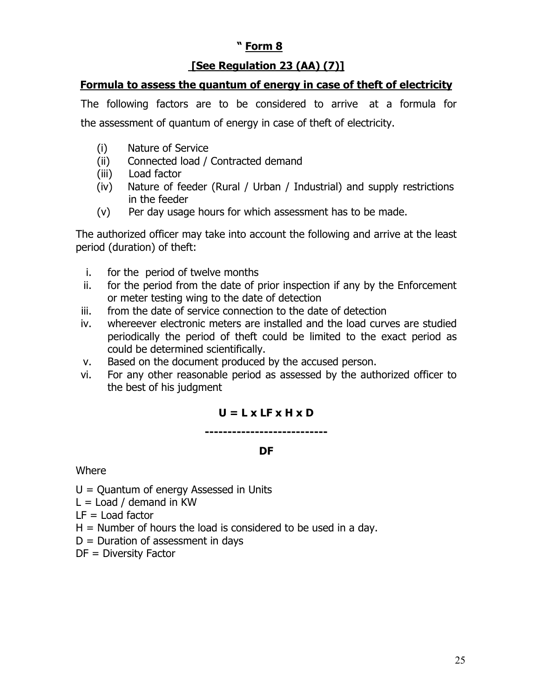## **" Form 8**

## **[See Regulation 23 (AA) (7)]**

## **Formula to assess the quantum of energy in case of theft of electricity**

The following factors are to be considered to arrive at a formula for the assessment of quantum of energy in case of theft of electricity.

- (i) Nature of Service
- (ii) Connected load / Contracted demand
- (iii) Load factor
- (iv) Nature of feeder (Rural / Urban / Industrial) and supply restrictions in the feeder
- (v) Per day usage hours for which assessment has to be made.

The authorized officer may take into account the following and arrive at the least period (duration) of theft:

- i. for the period of twelve months
- ii. for the period from the date of prior inspection if any by the Enforcement or meter testing wing to the date of detection
- iii. from the date of service connection to the date of detection
- iv. whereever electronic meters are installed and the load curves are studied periodically the period of theft could be limited to the exact period as could be determined scientifically.
- v. Based on the document produced by the accused person.
- vi. For any other reasonable period as assessed by the authorized officer to the best of his judgment

## **U = L x LF x H x D**

**---------------------------** 

## **DF**

#### **Where**

 $U =$  Quantum of energy Assessed in Units

 $L =$  Load / demand in KW

 $LF =$  Load factor

- $H =$  Number of hours the load is considered to be used in a day.
- $D =$  Duration of assessment in days
- DF = Diversity Factor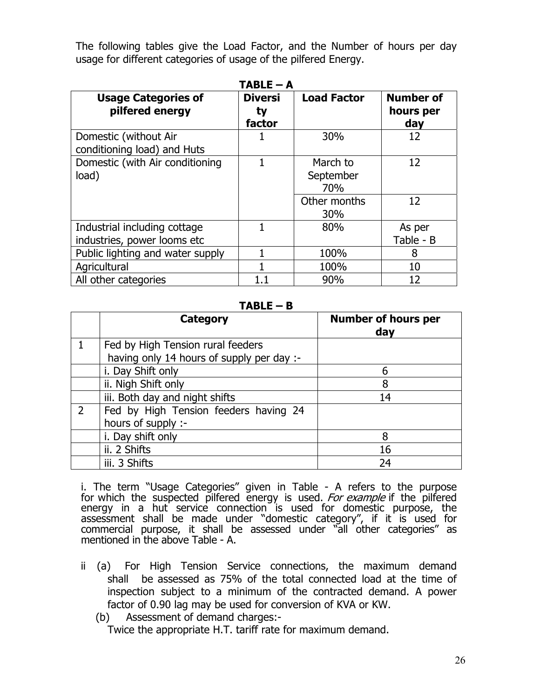The following tables give the Load Factor, and the Number of hours per day usage for different categories of usage of the pilfered Energy.

| $TABLE - A$                                                 |                                |                                                     |                                      |  |  |  |  |  |
|-------------------------------------------------------------|--------------------------------|-----------------------------------------------------|--------------------------------------|--|--|--|--|--|
| <b>Usage Categories of</b><br>pilfered energy               | <b>Diversi</b><br>ty<br>factor | <b>Load Factor</b>                                  | <b>Number of</b><br>hours per<br>day |  |  |  |  |  |
| Domestic (without Air<br>conditioning load) and Huts        |                                | 30%                                                 | 12                                   |  |  |  |  |  |
| Domestic (with Air conditioning<br>load)                    |                                | March to<br>September<br>70%<br>Other months<br>30% | 12<br>12                             |  |  |  |  |  |
| Industrial including cottage<br>industries, power looms etc |                                | 80%                                                 | As per<br>Table - B                  |  |  |  |  |  |
| Public lighting and water supply                            |                                | 100%                                                | 8                                    |  |  |  |  |  |
| Agricultural                                                |                                | 100%                                                | 10                                   |  |  |  |  |  |
| All other categories                                        |                                | 90%                                                 | 12                                   |  |  |  |  |  |

#### **TABLE – B**

| <b>Category</b>                           | <b>Number of hours per</b><br>day |
|-------------------------------------------|-----------------------------------|
| Fed by High Tension rural feeders         |                                   |
| having only 14 hours of supply per day :- |                                   |
| i. Day Shift only                         | 6                                 |
| ii. Nigh Shift only                       | 8                                 |
| iii. Both day and night shifts            | 14                                |
| Fed by High Tension feeders having 24     |                                   |
| hours of supply :-                        |                                   |
| i. Day shift only                         | 8                                 |
| ii. 2 Shifts                              | 16                                |
| iii. 3 Shifts                             | 24                                |

i. The term "Usage Categories" given in Table - A refers to the purpose for which the suspected pilfered energy is used. For example if the pilfered energy in a hut service connection is used for domestic purpose, the assessment shall be made under "domestic category", if it is used for commercial purpose, it shall be assessed under "all other categories" as mentioned in the above Table - A.

- ii (a) For High Tension Service connections, the maximum demand shall be assessed as 75% of the total connected load at the time of inspection subject to a minimum of the contracted demand. A power factor of 0.90 lag may be used for conversion of KVA or KW.
	- (b) Assessment of demand charges:-

Twice the appropriate H.T. tariff rate for maximum demand.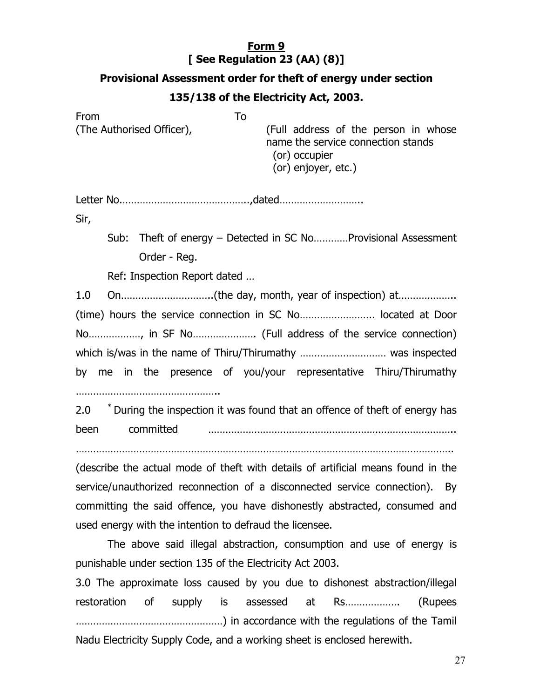## **Form 9 [ See Regulation 23 (AA) (8)]**

#### **Provisional Assessment order for theft of energy under section**

#### **135/138 of the Electricity Act, 2003.**

From To (The Authorised Officer), (Full address of the person in whose name the service connection stands (or) occupier (or) enjoyer, etc.)

Letter No.……………………………………..,dated………………………..

Sir,

Sub: Theft of energy – Detected in SC No…………Provisional Assessment Order - Reg.

Ref: Inspection Report dated …

1.0 On…………………………..(the day, month, year of inspection) at……………….. (time) hours the service connection in SC No…………………….. located at Door No………………, in SF No…………………. (Full address of the service connection) which is/was in the name of Thiru/Thirumathy ………………………… was inspected by me in the presence of you/your representative Thiru/Thirumathy …………………………………………..

2.0 <sup>\*</sup> During the inspection it was found that an offence of theft of energy has been committed …………………………………………………………………………..

…………………………………………………………………………………………………………………..

(describe the actual mode of theft with details of artificial means found in the service/unauthorized reconnection of a disconnected service connection). By committing the said offence, you have dishonestly abstracted, consumed and used energy with the intention to defraud the licensee.

 The above said illegal abstraction, consumption and use of energy is punishable under section 135 of the Electricity Act 2003.

3.0 The approximate loss caused by you due to dishonest abstraction/illegal restoration of supply is assessed at Rs………………. (Rupees ……………………………………………) in accordance with the regulations of the Tamil Nadu Electricity Supply Code, and a working sheet is enclosed herewith.

27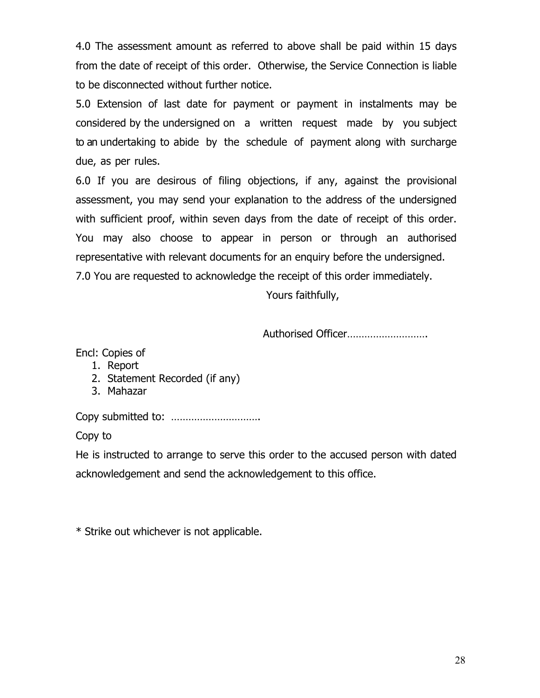4.0 The assessment amount as referred to above shall be paid within 15 days from the date of receipt of this order. Otherwise, the Service Connection is liable to be disconnected without further notice.

5.0 Extension of last date for payment or payment in instalments may be considered by the undersigned on a written request made by you subject to an undertaking to abide by the schedule of payment along with surcharge due, as per rules.

6.0 If you are desirous of filing objections, if any, against the provisional assessment, you may send your explanation to the address of the undersigned with sufficient proof, within seven days from the date of receipt of this order. You may also choose to appear in person or through an authorised representative with relevant documents for an enquiry before the undersigned. 7.0 You are requested to acknowledge the receipt of this order immediately.

Yours faithfully,

Authorised Officer……………………….

Encl: Copies of

- 1. Report
- 2. Statement Recorded (if any)
- 3. Mahazar

Copy submitted to: ………………………….

Copy to

He is instructed to arrange to serve this order to the accused person with dated acknowledgement and send the acknowledgement to this office.

\* Strike out whichever is not applicable.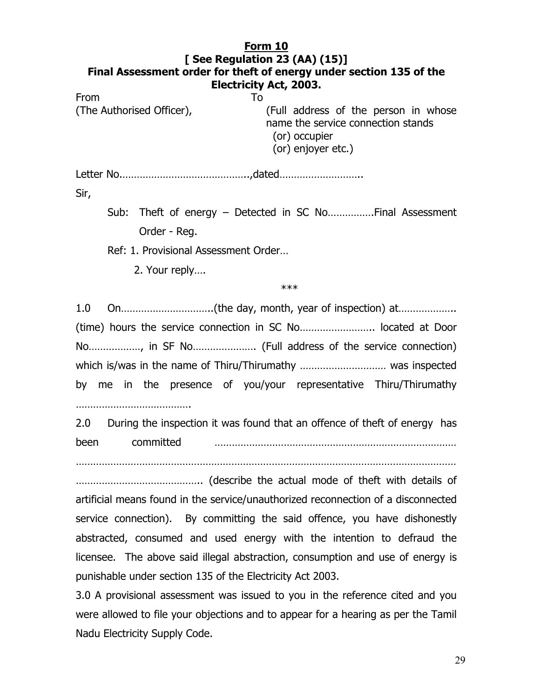#### **Form 10 [ See Regulation 23 (AA) (15)] Final Assessment order for theft of energy under section 135 of the Electricity Act, 2003.**

From To (The Authorised Officer), (Full address of the person in whose name the service connection stands (or) occupier (or) enjoyer etc.)

Letter No.……………………………………..,dated………………………..

Sir,

Sub: Theft of energy – Detected in SC No…………….Final Assessment Order - Reg.

Ref: 1. Provisional Assessment Order…

2. Your reply….

 $***$ 

1.0 On…………………………..(the day, month, year of inspection) at……………….. (time) hours the service connection in SC No…………………….. located at Door No………………, in SF No…………………. (Full address of the service connection) which is/was in the name of Thiru/Thirumathy ………………………… was inspected by me in the presence of you/your representative Thiru/Thirumathy

………………………………………

2.0 During the inspection it was found that an offence of theft of energy has been committed …………………………………………………………………………

……………………………………………………………………………………………………………………

…………………………………….. (describe the actual mode of theft with details of artificial means found in the service/unauthorized reconnection of a disconnected service connection). By committing the said offence, you have dishonestly abstracted, consumed and used energy with the intention to defraud the licensee. The above said illegal abstraction, consumption and use of energy is punishable under section 135 of the Electricity Act 2003.

3.0 A provisional assessment was issued to you in the reference cited and you were allowed to file your objections and to appear for a hearing as per the Tamil Nadu Electricity Supply Code.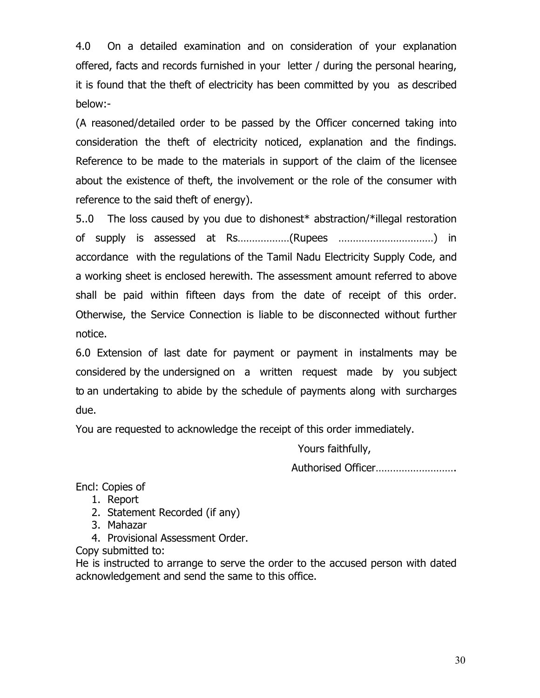4.0 On a detailed examination and on consideration of your explanation offered, facts and records furnished in your letter / during the personal hearing, it is found that the theft of electricity has been committed by you as described below:-

(A reasoned/detailed order to be passed by the Officer concerned taking into consideration the theft of electricity noticed, explanation and the findings. Reference to be made to the materials in support of the claim of the licensee about the existence of theft, the involvement or the role of the consumer with reference to the said theft of energy).

5..0 The loss caused by you due to dishonest\* abstraction/\*illegal restoration of supply is assessed at Rs………………(Rupees ……………………………) in accordance with the regulations of the Tamil Nadu Electricity Supply Code, and a working sheet is enclosed herewith. The assessment amount referred to above shall be paid within fifteen days from the date of receipt of this order. Otherwise, the Service Connection is liable to be disconnected without further notice.

6.0 Extension of last date for payment or payment in instalments may be considered by the undersigned on a written request made by you subject to an undertaking to abide by the schedule of payments along with surcharges due.

You are requested to acknowledge the receipt of this order immediately.

Yours faithfully,

Authorised Officer……………………….

Encl: Copies of

- 1. Report
- 2. Statement Recorded (if any)
- 3. Mahazar
- 4. Provisional Assessment Order.

Copy submitted to:

He is instructed to arrange to serve the order to the accused person with dated acknowledgement and send the same to this office.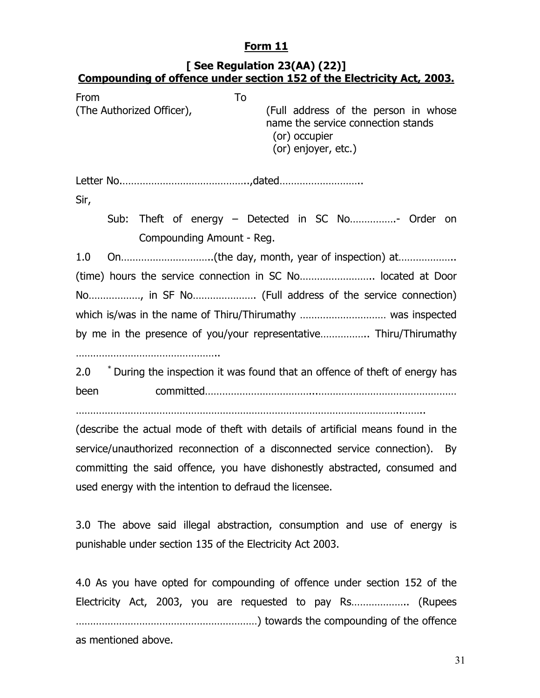## **Form 11**

#### **[ See Regulation 23(AA) (22)] Compounding of offence under section 152 of the Electricity Act, 2003.**

| From<br>(The Authorized Officer),                                 |  | To<br>(Full address of the person in whose<br>name the service connection stands<br>(or) occupier<br>(or) enjoyer, etc.) |  |  |  |  |  |  |  |  |
|-------------------------------------------------------------------|--|--------------------------------------------------------------------------------------------------------------------------|--|--|--|--|--|--|--|--|
|                                                                   |  |                                                                                                                          |  |  |  |  |  |  |  |  |
|                                                                   |  |                                                                                                                          |  |  |  |  |  |  |  |  |
| Sir,                                                              |  |                                                                                                                          |  |  |  |  |  |  |  |  |
|                                                                   |  | Sub: Theft of energy – Detected in SC No Order on                                                                        |  |  |  |  |  |  |  |  |
|                                                                   |  | Compounding Amount - Reg.                                                                                                |  |  |  |  |  |  |  |  |
| 1.0                                                               |  |                                                                                                                          |  |  |  |  |  |  |  |  |
|                                                                   |  | (time) hours the service connection in SC No located at Door                                                             |  |  |  |  |  |  |  |  |
|                                                                   |  |                                                                                                                          |  |  |  |  |  |  |  |  |
|                                                                   |  |                                                                                                                          |  |  |  |  |  |  |  |  |
| by me in the presence of you/your representative Thiru/Thirumathy |  |                                                                                                                          |  |  |  |  |  |  |  |  |
|                                                                   |  |                                                                                                                          |  |  |  |  |  |  |  |  |
| 2.0                                                               |  | * During the inspection it was found that an offence of theft of energy has                                              |  |  |  |  |  |  |  |  |
| been                                                              |  |                                                                                                                          |  |  |  |  |  |  |  |  |
|                                                                   |  |                                                                                                                          |  |  |  |  |  |  |  |  |
|                                                                   |  | (describe the actual mode of theft with details of artificial means found in the                                         |  |  |  |  |  |  |  |  |
|                                                                   |  | service/unauthorized reconnection of a disconnected service connection). By                                              |  |  |  |  |  |  |  |  |
|                                                                   |  | committing the said offence, you have dishonestly abstracted, consumed and                                               |  |  |  |  |  |  |  |  |
|                                                                   |  | used energy with the intention to defraud the licensee.                                                                  |  |  |  |  |  |  |  |  |

3.0 The above said illegal abstraction, consumption and use of energy is punishable under section 135 of the Electricity Act 2003.

4.0 As you have opted for compounding of offence under section 152 of the Electricity Act, 2003, you are requested to pay Rs……………….. (Rupees ………………………………………………………) towards the compounding of the offence as mentioned above.

31